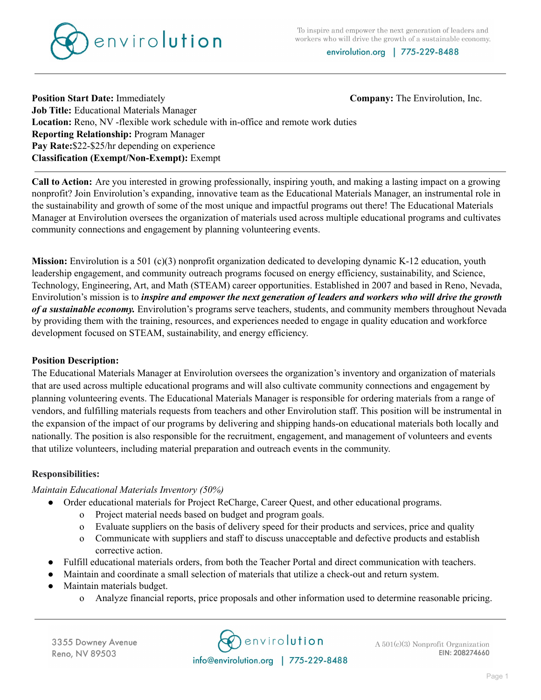To inspire and empower the next generation of leaders and workers who will drive the growth of a sustainable economy.



envirolution.org | 775-229-8488

# **Position Start Date:** Immediately **Company:** Company: The Envirolution, Inc. **Job Title:** Educational Materials Manager **Location:** Reno, NV -flexible work schedule with in-office and remote work duties **Reporting Relationship:** Program Manager **Pay Rate:**\$22-\$25/hr depending on experience **Classification (Exempt/Non-Exempt):** Exempt

**Call to Action:** Are you interested in growing professionally, inspiring youth, and making a lasting impact on a growing nonprofit? Join Envirolution's expanding, innovative team as the Educational Materials Manager, an instrumental role in the sustainability and growth of some of the most unique and impactful programs out there! The Educational Materials Manager at Envirolution oversees the organization of materials used across multiple educational programs and cultivates community connections and engagement by planning volunteering events.

**Mission:** Envirolution is a 501 (c)(3) nonprofit organization dedicated to developing dynamic K-12 education, youth leadership engagement, and community outreach programs focused on energy efficiency, sustainability, and Science, Technology, Engineering, Art, and Math (STEAM) career opportunities. Established in 2007 and based in Reno, Nevada, Envirolution's mission is to *inspire and empower the next generation of leaders and workers who will drive the growth of a sustainable economy.* Envirolution's programs serve teachers, students, and community members throughout Nevada by providing them with the training, resources, and experiences needed to engage in quality education and workforce development focused on STEAM, sustainability, and energy efficiency.

### **Position Description:**

The Educational Materials Manager at Envirolution oversees the organization's inventory and organization of materials that are used across multiple educational programs and will also cultivate community connections and engagement by planning volunteering events. The Educational Materials Manager is responsible for ordering materials from a range of vendors, and fulfilling materials requests from teachers and other Envirolution staff. This position will be instrumental in the expansion of the impact of our programs by delivering and shipping hands-on educational materials both locally and nationally. The position is also responsible for the recruitment, engagement, and management of volunteers and events that utilize volunteers, including material preparation and outreach events in the community.

### **Responsibilities:**

### *Maintain Educational Materials Inventory (50%)*

- Order educational materials for Project ReCharge, Career Quest, and other educational programs.
	- o Project material needs based on budget and program goals.
	- o Evaluate suppliers on the basis of delivery speed for their products and services, price and quality
	- o Communicate with suppliers and staff to discuss unacceptable and defective products and establish corrective action.
- Fulfill educational materials orders, from both the Teacher Portal and direct communication with teachers.
- Maintain and coordinate a small selection of materials that utilize a check-out and return system.
- Maintain materials budget.
	- o Analyze financial reports, price proposals and other information used to determine reasonable pricing.

**C**envirolution info@envirolution.org | 775-229-8488

 $A\ 501(c)(3)$  Nonprofit Organization EIN: 208274660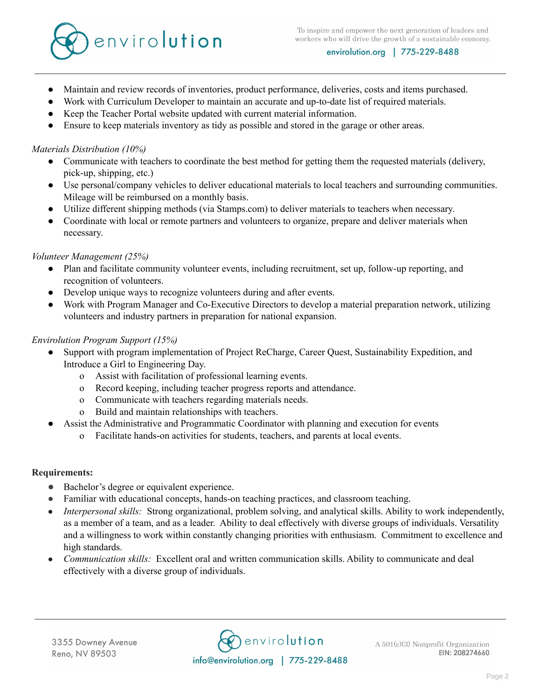

- Maintain and review records of inventories, product performance, deliveries, costs and items purchased.
- Work with Curriculum Developer to maintain an accurate and up-to-date list of required materials.
- Keep the Teacher Portal website updated with current material information.
- Ensure to keep materials inventory as tidy as possible and stored in the garage or other areas.

#### *Materials Distribution (10%)*

- Communicate with teachers to coordinate the best method for getting them the requested materials (delivery, pick-up, shipping, etc.)
- Use personal/company vehicles to deliver educational materials to local teachers and surrounding communities. Mileage will be reimbursed on a monthly basis.
- Utilize different shipping methods (via Stamps.com) to deliver materials to teachers when necessary.
- Coordinate with local or remote partners and volunteers to organize, prepare and deliver materials when necessary.

### *Volunteer Management (25%)*

- Plan and facilitate community volunteer events, including recruitment, set up, follow-up reporting, and recognition of volunteers.
- Develop unique ways to recognize volunteers during and after events.
- Work with Program Manager and Co-Executive Directors to develop a material preparation network, utilizing volunteers and industry partners in preparation for national expansion.

### *Envirolution Program Support (15%)*

- Support with program implementation of Project ReCharge, Career Quest, Sustainability Expedition, and Introduce a Girl to Engineering Day.
	- o Assist with facilitation of professional learning events.
	- o Record keeping, including teacher progress reports and attendance.
	- o Communicate with teachers regarding materials needs.
	- o Build and maintain relationships with teachers.
- Assist the Administrative and Programmatic Coordinator with planning and execution for events
	- o Facilitate hands-on activities for students, teachers, and parents at local events.

### **Requirements:**

- Bachelor's degree or equivalent experience.
- Familiar with educational concepts, hands-on teaching practices, and classroom teaching.
- *Interpersonal skills:* Strong organizational, problem solving, and analytical skills. Ability to work independently, as a member of a team, and as a leader. Ability to deal effectively with diverse groups of individuals. Versatility and a willingness to work within constantly changing priorities with enthusiasm. Commitment to excellence and high standards.
- *Communication skills:* Excellent oral and written communication skills. Ability to communicate and deal effectively with a diverse group of individuals.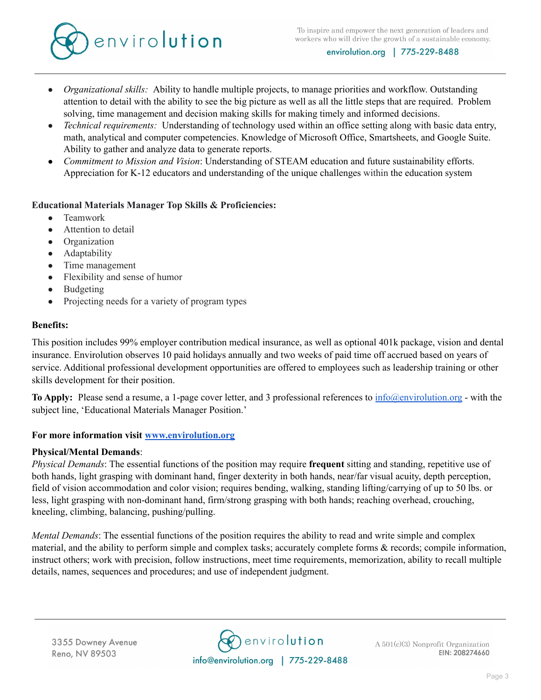

- *Organizational skills:* Ability to handle multiple projects, to manage priorities and workflow. Outstanding attention to detail with the ability to see the big picture as well as all the little steps that are required. Problem solving, time management and decision making skills for making timely and informed decisions.
- *Technical requirements:* Understanding of technology used within an office setting along with basic data entry, math, analytical and computer competencies. Knowledge of Microsoft Office, Smartsheets, and Google Suite. Ability to gather and analyze data to generate reports.
- *Commitment to Mission and Vision*: Understanding of STEAM education and future sustainability efforts. Appreciation for K-12 educators and understanding of the unique challenges within the education system

### **Educational Materials Manager Top Skills & Proficiencies:**

- Teamwork
- Attention to detail
- Organization
- Adaptability
- Time management
- Flexibility and sense of humor
- Budgeting
- Projecting needs for a variety of program types

### **Benefits:**

This position includes 99% employer contribution medical insurance, as well as optional 401k package, vision and dental insurance. Envirolution observes 10 paid holidays annually and two weeks of paid time off accrued based on years of service. Additional professional development opportunities are offered to employees such as leadership training or other skills development for their position.

**To Apply:** Please send a resume, a 1-page cover letter, and 3 professional references to [info@envirolution.org](mailto:info@envirolution.org) - with the subject line, 'Educational Materials Manager Position.'

# **For more information visit [www.envirolution.org](http://www.envirolution.org)**

### **Physical/Mental Demands**:

*Physical Demands*: The essential functions of the position may require **frequent** sitting and standing, repetitive use of both hands, light grasping with dominant hand, finger dexterity in both hands, near/far visual acuity, depth perception, field of vision accommodation and color vision; requires bending, walking, standing lifting/carrying of up to 50 lbs. or less, light grasping with non-dominant hand, firm/strong grasping with both hands; reaching overhead, crouching, kneeling, climbing, balancing, pushing/pulling.

*Mental Demands*: The essential functions of the position requires the ability to read and write simple and complex material, and the ability to perform simple and complex tasks; accurately complete forms & records; compile information, instruct others; work with precision, follow instructions, meet time requirements, memorization, ability to recall multiple details, names, sequences and procedures; and use of independent judgment.